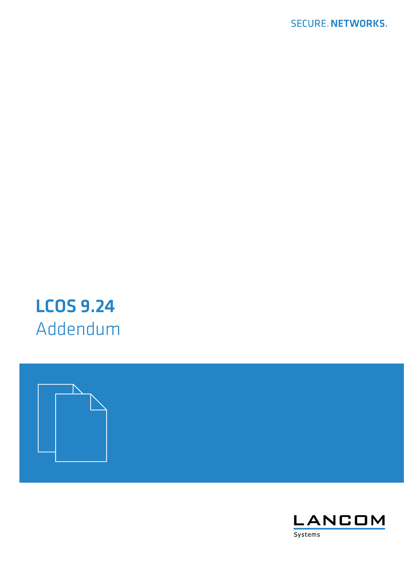# LCOS 9.24 Addendum



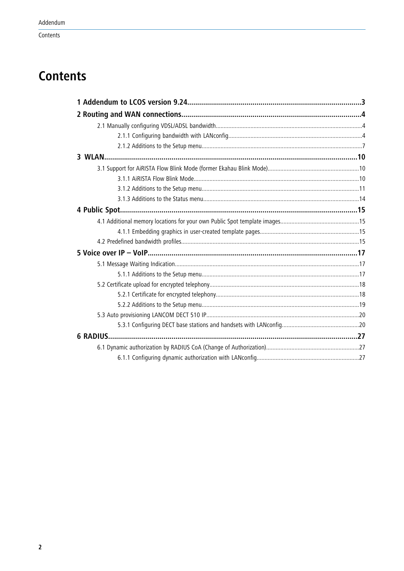# **Contents**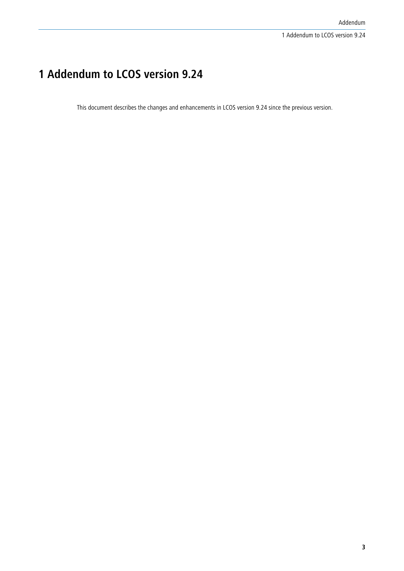# <span id="page-2-0"></span>**1 Addendum to LCOS version 9.24**

This document describes the changes and enhancements in LCOS version 9.24 since the previous version.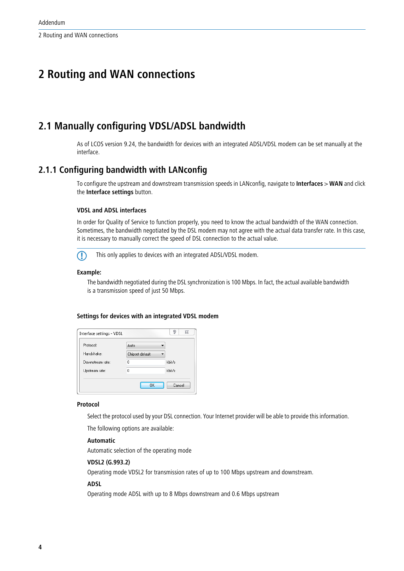2 Routing and WAN connections

# <span id="page-3-0"></span>**2 Routing and WAN connections**

# <span id="page-3-1"></span>**2.1 Manually configuring VDSL/ADSL bandwidth**

As of LCOS version 9.24, the bandwidth for devices with an integrated ADSL/VDSL modem can be set manually at the interface.

# <span id="page-3-2"></span>**2.1.1 Configuring bandwidth with LANconfig**

To configure the upstream and downstream transmission speeds in LANconfig, navigate to **Interfaces** > **WAN** and click the **Interface settings** button.

#### **VDSL and ADSL interfaces**

In order for Quality of Service to function properly, you need to know the actual bandwidth of the WAN connection. Sometimes, the bandwidth negotiated by the DSL modem may not agree with the actual data transfer rate. In this case, it is necessary to manually correct the speed of DSL connection to the actual value.

**This only applies to devices with an integrated ADSL/VDSL modem.** 

### **Example:**

The bandwidth negotiated during the DSL synchronization is 100 Mbps. In fact, the actual available bandwidth is a transmission speed of just 50 Mbps.

#### **Settings for devices with an integrated VDSL modem**

| Protocol:        | Auto            |        |
|------------------|-----------------|--------|
| Handshake:       | Chipset default |        |
| Downstream rate: | n               | kbit/s |
| Upstream rate:   | 0               | kbit/s |

#### **Protocol**

Select the protocol used by your DSL connection. Your Internet provider will be able to provide this information.

The following options are available:

#### **Automatic**

Automatic selection of the operating mode

#### **VDSL2 (G.993.2)**

Operating mode VDSL2 for transmission rates of up to 100 Mbps upstream and downstream.

#### **ADSL**

Operating mode ADSL with up to 8 Mbps downstream and 0.6 Mbps upstream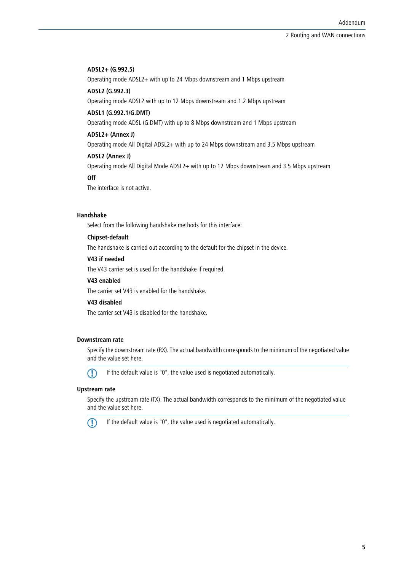#### **ADSL2+ (G.992.5)**

Operating mode ADSL2+ with up to 24 Mbps downstream and 1 Mbps upstream

#### **ADSL2 (G.992.3)**

Operating mode ADSL2 with up to 12 Mbps downstream and 1.2 Mbps upstream

#### **ADSL1 (G.992.1/G.DMT)**

Operating mode ADSL (G.DMT) with up to 8 Mbps downstream and 1 Mbps upstream

#### **ADSL2+ (Annex J)**

Operating mode All Digital ADSL2+ with up to 24 Mbps downstream and 3.5 Mbps upstream

#### **ADSL2 (Annex J)**

Operating mode All Digital Mode ADSL2+ with up to 12 Mbps downstream and 3.5 Mbps upstream

#### **Off**

The interface is not active.

#### **Handshake**

Select from the following handshake methods for this interface:

#### **Chipset-default**

The handshake is carried out according to the default for the chipset in the device.

## **V43 if needed**

The V43 carrier set is used for the handshake if required.

#### **V43 enabled**

The carrier set V43 is enabled for the handshake.

#### **V43 disabled**

The carrier set V43 is disabled for the handshake.

#### **Downstream rate**

Specify the downstream rate (RX). The actual bandwidth corresponds to the minimum of the negotiated value and the value set here.



**(1)** If the default value is "0", the value used is negotiated automatically.

#### **Upstream rate**

Specify the upstream rate (TX). The actual bandwidth corresponds to the minimum of the negotiated value and the value set here.



 $\bigcap$  If the default value is "0", the value used is negotiated automatically.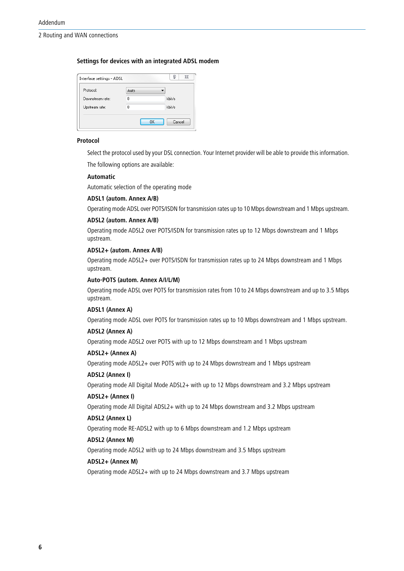2 Routing and WAN connections

#### **Settings for devices with an integrated ADSL modem**

| Interface settings - ADSL |      | P<br>23 |
|---------------------------|------|---------|
| Protocol:                 | Auto |         |
| Downstream rate:          | ۵    | kbit/s  |
| Upstream rate:            | ٥    | kbit/s  |
|                           | OK   | Cancel  |
|                           |      |         |

#### **Protocol**

Select the protocol used by your DSL connection. Your Internet provider will be able to provide this information.

The following options are available:

#### **Automatic**

Automatic selection of the operating mode

#### **ADSL1 (autom. Annex A/B)**

Operating mode ADSL over POTS/ISDN for transmission rates up to 10 Mbps downstream and 1 Mbps upstream.

#### **ADSL2 (autom. Annex A/B)**

Operating mode ADSL2 over POTS/ISDN for transmission rates up to 12 Mbps downstream and 1 Mbps upstream.

#### **ADSL2+ (autom. Annex A/B)**

Operating mode ADSL2+ over POTS/ISDN for transmission rates up to 24 Mbps downstream and 1 Mbps upstream.

#### **Auto-POTS (autom. Annex A/I/L/M)**

Operating mode ADSL over POTS for transmission rates from 10 to 24 Mbps downstream and up to 3.5 Mbps upstream.

#### **ADSL1 (Annex A)**

Operating mode ADSL over POTS for transmission rates up to 10 Mbps downstream and 1 Mbps upstream.

#### **ADSL2 (Annex A)**

Operating mode ADSL2 over POTS with up to 12 Mbps downstream and 1 Mbps upstream

## **ADSL2+ (Annex A)**

Operating mode ADSL2+ over POTS with up to 24 Mbps downstream and 1 Mbps upstream

#### **ADSL2 (Annex I)**

Operating mode All Digital Mode ADSL2+ with up to 12 Mbps downstream and 3.2 Mbps upstream

#### **ADSL2+ (Annex I)**

Operating mode All Digital ADSL2+ with up to 24 Mbps downstream and 3.2 Mbps upstream

#### **ADSL2 (Annex L)**

Operating mode RE-ADSL2 with up to 6 Mbps downstream and 1.2 Mbps upstream

#### **ADSL2 (Annex M)**

Operating mode ADSL2 with up to 24 Mbps downstream and 3.5 Mbps upstream

#### **ADSL2+ (Annex M)**

Operating mode ADSL2+ with up to 24 Mbps downstream and 3.7 Mbps upstream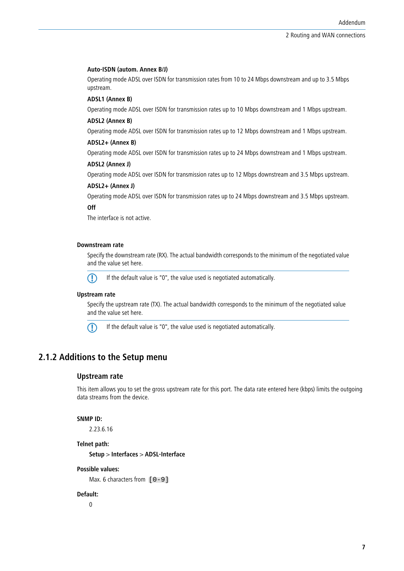#### **Auto-ISDN (autom. Annex B/J)**

Operating mode ADSL over ISDN for transmission rates from 10 to 24 Mbps downstream and up to 3.5 Mbps upstream.

#### **ADSL1 (Annex B)**

Operating mode ADSL over ISDN for transmission rates up to 10 Mbps downstream and 1 Mbps upstream.

#### **ADSL2 (Annex B)**

Operating mode ADSL over ISDN for transmission rates up to 12 Mbps downstream and 1 Mbps upstream.

#### **ADSL2+ (Annex B)**

Operating mode ADSL over ISDN for transmission rates up to 24 Mbps downstream and 1 Mbps upstream.

#### **ADSL2 (Annex J)**

Operating mode ADSL over ISDN for transmission rates up to 12 Mbps downstream and 3.5 Mbps upstream.

#### **ADSL2+ (Annex J)**

Operating mode ADSL over ISDN for transmission rates up to 24 Mbps downstream and 3.5 Mbps upstream.

#### **Off**

The interface is not active.

#### **Downstream rate**

Specify the downstream rate (RX). The actual bandwidth corresponds to the minimum of the negotiated value and the value set here.



5 If the default value is "0", the value used is negotiated automatically.

#### **Upstream rate**

Specify the upstream rate (TX). The actual bandwidth corresponds to the minimum of the negotiated value and the value set here.



5 If the default value is "0", the value used is negotiated automatically.

# <span id="page-6-0"></span>**2.1.2 Additions to the Setup menu**

## **Upstream rate**

This item allows you to set the gross upstream rate for this port. The data rate entered here (kbps) limits the outgoing data streams from the device.

#### **SNMP ID:**

2.23.6.16

#### **Telnet path:**

**Setup** > **Interfaces** > **ADSL-Interface**

#### **Possible values:**

Max. 6 characters from  $[0-9]$ 

#### **Default:**

 $\Omega$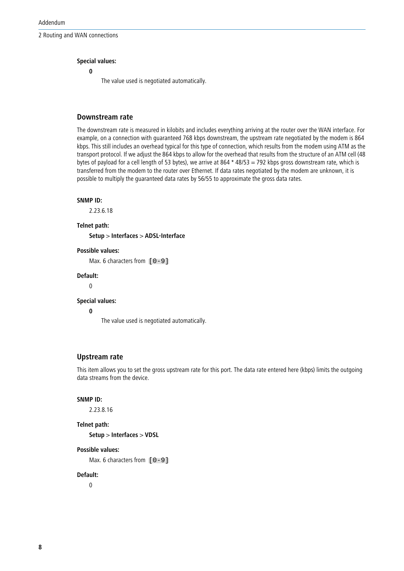2 Routing and WAN connections

# **Special values:**

**0**

The value used is negotiated automatically.

# **Downstream rate**

The downstream rate is measured in kilobits and includes everything arriving at the router over the WAN interface. For example, on a connection with guaranteed 768 kbps downstream, the upstream rate negotiated by the modem is 864 kbps. This still includes an overhead typical for this type of connection, which results from the modem using ATM as the transport protocol. If we adjust the 864 kbps to allow for the overhead that results from the structure of an ATM cell (48 bytes of payload for a cell length of 53 bytes), we arrive at 864  $*$  48/53 = 792 kbps gross downstream rate, which is transferred from the modem to the router over Ethernet. If data rates negotiated by the modem are unknown, it is possible to multiply the guaranteed data rates by 56/55 to approximate the gross data rates.

#### **SNMP ID:**

2.23.6.18

**Telnet path:**

**Setup** > **Interfaces** > **ADSL-Interface**

#### **Possible values:**

Max. 6 characters from  $[0-9]$ 

#### **Default:**

 $\overline{0}$ 

#### **Special values:**

**0**

The value used is negotiated automatically.

#### **Upstream rate**

This item allows you to set the gross upstream rate for this port. The data rate entered here (kbps) limits the outgoing data streams from the device.

#### **SNMP ID:**

2.23.8.16

#### **Telnet path:**

**Setup** > **Interfaces** > **VDSL**

#### **Possible values:**

Max. 6 characters from  $[0-9]$ 

#### **Default:**

0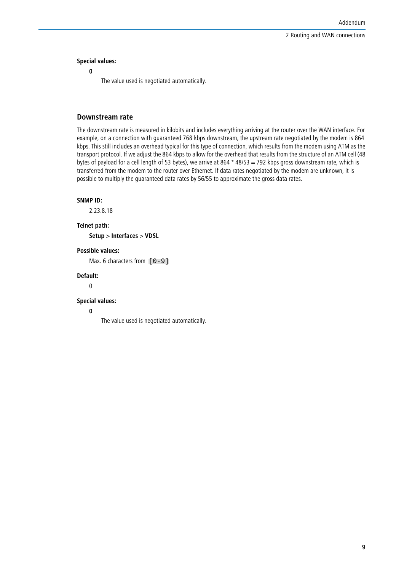2 Routing and WAN connections

#### **Special values:**

**0**

The value used is negotiated automatically.

# **Downstream rate**

The downstream rate is measured in kilobits and includes everything arriving at the router over the WAN interface. For example, on a connection with guaranteed 768 kbps downstream, the upstream rate negotiated by the modem is 864 kbps. This still includes an overhead typical for this type of connection, which results from the modem using ATM as the transport protocol. If we adjust the 864 kbps to allow for the overhead that results from the structure of an ATM cell (48 bytes of payload for a cell length of 53 bytes), we arrive at 864 \* 48/53 = 792 kbps gross downstream rate, which is transferred from the modem to the router over Ethernet. If data rates negotiated by the modem are unknown, it is possible to multiply the guaranteed data rates by 56/55 to approximate the gross data rates.

#### **SNMP ID:**

2.23.8.18

**Telnet path:**

**Setup** > **Interfaces** > **VDSL**

#### **Possible values:**

Max. 6 characters from  $[0-9]$ 

#### **Default:**

0

#### **Special values:**

**0**

The value used is negotiated automatically.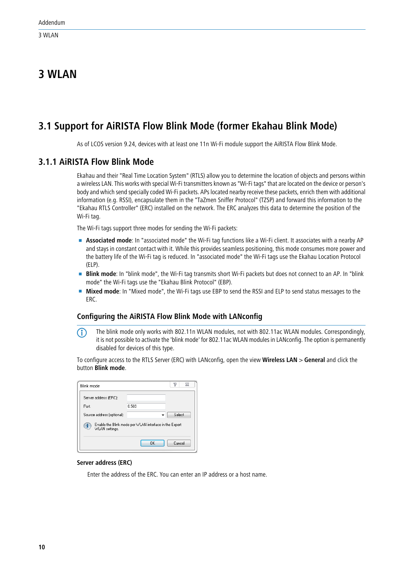# <span id="page-9-0"></span>**3 WLAN**

# <span id="page-9-1"></span>**3.1 Support for AiRISTA Flow Blink Mode (former Ekahau Blink Mode)**

As of LCOS version 9.24, devices with at least one 11n Wi-Fi module support the AiRISTA Flow Blink Mode.

# <span id="page-9-2"></span>**3.1.1 AiRISTA Flow Blink Mode**

Ekahau and their "Real Time Location System" (RTLS) allow you to determine the location of objects and persons within a wireless LAN. This works with special Wi-Fi transmitters known as "Wi-Fi tags" that are located on the device or person's body and which send specially coded Wi-Fi packets. APs located nearby receive these packets, enrich them with additional information (e.g. RSSI), encapsulate them in the "TaZmen Sniffer Protocol" (TZSP) and forward this information to the "Ekahau RTLS Controller" (ERC) installed on the network. The ERC analyzes this data to determine the position of the Wi-Fi tag.

The Wi-Fi tags support three modes for sending the Wi-Fi packets:

- **4** Associated mode: In "associated mode" the Wi-Fi tag functions like a Wi-Fi client. It associates with a nearby AP and stays in constant contact with it. While this provides seamless positioning, this mode consumes more power and the battery life of the Wi-Fi tag is reduced. In "associated mode" the Wi-Fi tags use the Ekahau Location Protocol (ELP).
- **Blink mode**: In "blink mode", the Wi-Fi tag transmits short Wi-Fi packets but does not connect to an AP. In "blink mode" the Wi-Fi tags use the "Ekahau Blink Protocol" (EBP).
- 1 **Mixed mode**: In "Mixed mode", the Wi-Fi tags use EBP to send the RSSI and ELP to send status messages to the ERC.

# **Configuring the AiRISTA Flow Blink Mode with LANconfig**

**(1)** The blink mode only works with 802.11n WLAN modules, not with 802.11ac WLAN modules. Correspondingly, it is not possible to activate the 'blink mode' for 802.11ac WLAN modules in LANconfig. The option is permanently disabled for devices of this type.

To configure access to the RTLS Server (ERC) with LANconfig, open the view **Wireless LAN** > **General** and click the button **Blink mode**.

| Blink mode                     |                                                        | P<br>$\Sigma$ |
|--------------------------------|--------------------------------------------------------|---------------|
| Server address (ERC):          |                                                        |               |
| Port:                          | 8.569                                                  |               |
| Source address (optional):     |                                                        | Select        |
| $\mathbf{1}$<br>WLAN settings. | Enable the Blink mode per WLAN interface in the Expert |               |
|                                | OK                                                     | Cancel        |

#### **Server address (ERC)**

Enter the address of the ERC. You can enter an IP address or a host name.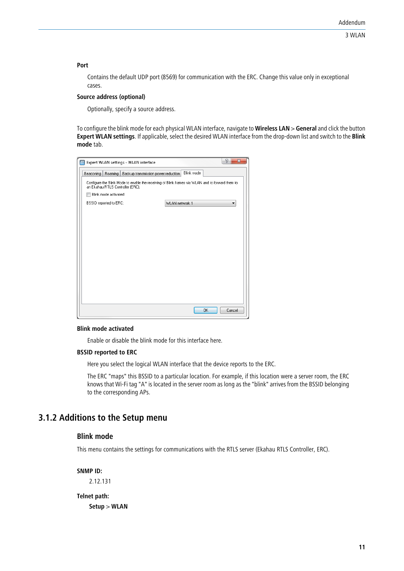#### **Port**

Contains the default UDP port (8569) for communication with the ERC. Change this value only in exceptional cases.

#### **Source address (optional)**

Optionally, specify a source address.

To configure the blink mode for each physical WLAN interface, navigate to **Wireless LAN** > **General** and click the button **Expert WLAN settings**. If applicable, select the desired WLAN interface from the drop-down list and switch to the **Blink mode** tab.

| Expert WLAN settings - WLAN interface                                                                                                | 8<br>$\mathbf{x}$              |
|--------------------------------------------------------------------------------------------------------------------------------------|--------------------------------|
| Beaconing<br>Roaming   Backup transmission power reduction                                                                           | Blink mode                     |
| Configure the Blink Mode to enable the receiving of Blink frames via WLAN and to forward them to<br>an Ekahau RTLS Controller (ERC). |                                |
| Blink mode activated                                                                                                                 |                                |
| BSSID reported to ERC:                                                                                                               | WLAN network 1<br>$\mathbf{r}$ |
|                                                                                                                                      |                                |
|                                                                                                                                      |                                |
|                                                                                                                                      |                                |
|                                                                                                                                      |                                |
|                                                                                                                                      |                                |
|                                                                                                                                      |                                |
|                                                                                                                                      |                                |
|                                                                                                                                      |                                |
|                                                                                                                                      |                                |
|                                                                                                                                      |                                |
|                                                                                                                                      |                                |
|                                                                                                                                      | OK<br>Cancel                   |

#### **Blink mode activated**

Enable or disable the blink mode for this interface here.

#### **BSSID reported to ERC**

Here you select the logical WLAN interface that the device reports to the ERC.

The ERC "maps" this BSSID to a particular location. For example, if this location were a server room, the ERC knows that Wi-Fi tag "A" is located in the server room as long as the "blink" arrives from the BSSID belonging to the corresponding APs.

# <span id="page-10-0"></span>**3.1.2 Additions to the Setup menu**

# **Blink mode**

This menu contains the settings for communications with the RTLS server (Ekahau RTLS Controller, ERC).

**SNMP ID:**

2.12.131

# **Telnet path: Setup** > **WLAN**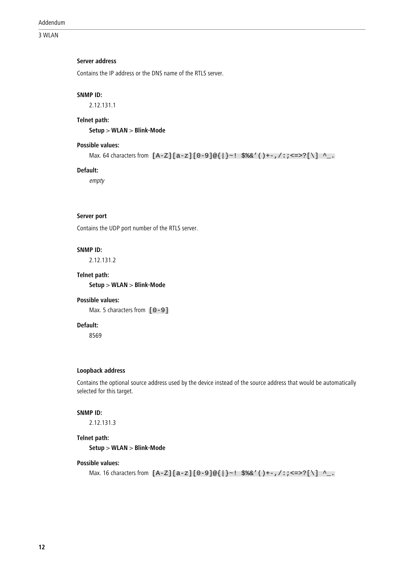#### 3 WLAN

#### **Server address**

Contains the IP address or the DNS name of the RTLS server.

#### **SNMP ID:**

2.12.131.1

#### **Telnet path:**

**Setup** > **WLAN** > **Blink-Mode**

# **Possible values:**

```
Max. 64 characters from [A-Z][a-z][0-9]@{|}~! $%&'()+-,/:; <=>?[\] ^_.
```
#### **Default:**

empty

#### **Server port**

Contains the UDP port number of the RTLS server.

#### **SNMP ID:**

2.12.131.2

#### **Telnet path:**

**Setup** > **WLAN** > **Blink-Mode**

#### **Possible values:**

Max. 5 characters from  $[0-9]$ 

# **Default:**

8569

#### **Loopback address**

Contains the optional source address used by the device instead of the source address that would be automatically selected for this target.

#### **SNMP ID:**

2.12.131.3

#### **Telnet path:**

**Setup** > **WLAN** > **Blink-Mode**

#### **Possible values:**

Max. 16 characters from  $[A-Z][a-z][0-9] \otimes \{\}\cdot$ : \$%&'()+-,/:; <=>? $[\]\$  ^\_.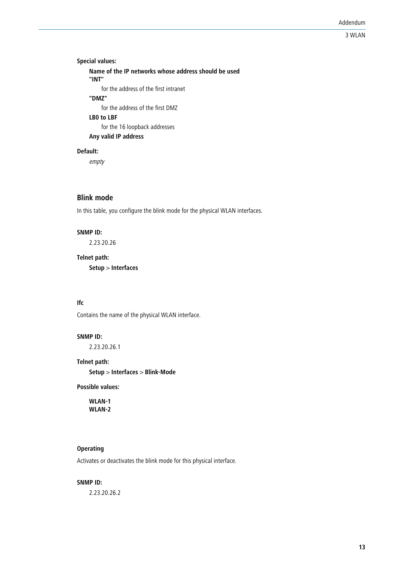# 3 WLAN

# **Special values: Name of the IP networks whose address should be used "INT"** for the address of the first intranet **"DMZ"** for the address of the first DMZ **LB0 to LBF** for the 16 loopback addresses **Any valid IP address**

#### **Default:**

empty

# **Blink mode**

In this table, you configure the blink mode for the physical WLAN interfaces.

#### **SNMP ID:**

2.23.20.26

# **Telnet path:**

**Setup** > **Interfaces**

### **Ifc**

Contains the name of the physical WLAN interface.

#### **SNMP ID:**

2.23.20.26.1

#### **Telnet path:**

**Setup** > **Interfaces** > **Blink-Mode**

**Possible values:**

**WLAN-1 WLAN-2**

# **Operating**

Activates or deactivates the blink mode for this physical interface.

#### **SNMP ID:**

2.23.20.26.2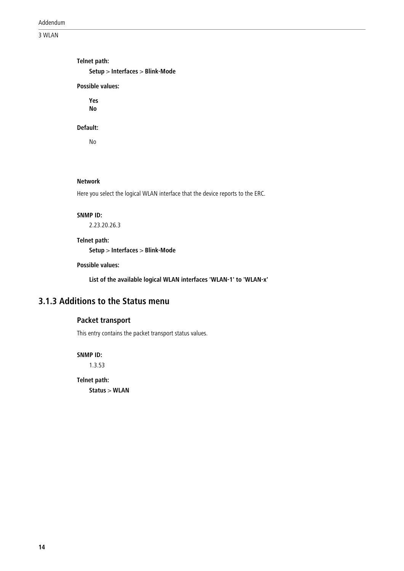Addendum

3 WLAN

**Telnet path: Setup** > **Interfaces** > **Blink-Mode Possible values: Yes No**

#### **Default:**

No

#### **Network**

Here you select the logical WLAN interface that the device reports to the ERC.

#### **SNMP ID:**

2.23.20.26.3

#### **Telnet path:**

**Setup** > **Interfaces** > **Blink-Mode**

# **Possible values:**

**List of the available logical WLAN interfaces 'WLAN-1' to 'WLAN-x'**

# <span id="page-13-0"></span>**3.1.3 Additions to the Status menu**

# **Packet transport**

This entry contains the packet transport status values.

**SNMP ID:**

1.3.53

**Telnet path: Status** > **WLAN**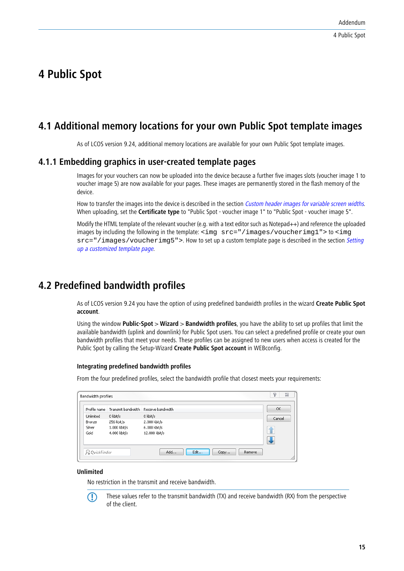# <span id="page-14-0"></span>**4 Public Spot**

# <span id="page-14-1"></span>**4.1 Additional memory locations for your own Public Spot template images**

As of LCOS version 9.24, additional memory locations are available for your own Public Spot template images.

# <span id="page-14-2"></span>**4.1.1 Embedding graphics in user-created template pages**

Images for your vouchers can now be uploaded into the device because a further five images slots (voucher image 1 to voucher image 5) are now available for your pages. These images are permanently stored in the flash memory of the device.

How to transfer the images into the device is described in the section Custom header images for variable screen widths. When uploading, set the **Certificate type** to "Public Spot - voucher image 1" to "Public Spot - voucher image 5".

Modify the HTML template of the relevant voucher (e.g. with a text editor such as Notepad++) and reference the uploaded images by including the following in the template: <img  $src = "/images/voucherimg1" > to$ src="/images/voucherimg5">. How to set up a custom template page is described in the section Setting up a customized template page.

# <span id="page-14-3"></span>**4.2 Predefined bandwidth profiles**

As of LCOS version 9.24 you have the option of using predefined bandwidth profiles in the wizard **Create Public Spot account**.

Using the window **Public-Spot** > **Wizard** > **Bandwidth profiles**, you have the ability to set up profiles that limit the available bandwidth (uplink and downlink) for Public Spot users. You can select a predefined profile or create your own bandwidth profiles that meet your needs. These profiles can be assigned to new users when access is created for the Public Spot by calling the Setup-Wizard **Create Public Spot account** in WEBconfig.

#### **Integrating predefined bandwidth profiles**

From the four predefined profiles, select the bandwidth profile that closest meets your requirements:

| Bandwidth profiles |                               | P<br>X             |
|--------------------|-------------------------------|--------------------|
|                    | Receive bandwidth             | OK                 |
| 0 kbit/s           | 0 kbit/s                      | Cancel             |
| 256 kbit/s         | 2.000 kbit/s                  |                    |
| 1.000 kbit/s       | 6.000 kbit/s                  |                    |
| 4.000 kbit/s       | 12.000 kbit/s                 | ⇑                  |
|                    |                               |                    |
| <b>QuickFinder</b> | Add<br>Edit<br>Copy<br>Remove |                    |
|                    |                               | Transmit bandwidth |

#### **Unlimited**

No restriction in the transmit and receive bandwidth.



**These values refer to the transmit bandwidth (TX) and receive bandwidth (RX) from the perspective** of the client.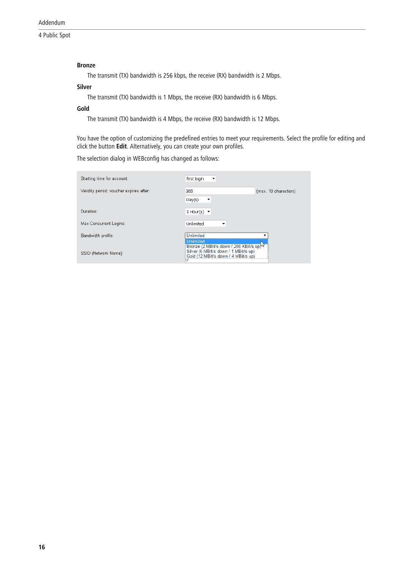### **Bronze**

The transmit (TX) bandwidth is 256 kbps, the receive (RX) bandwidth is 2 Mbps.

# **Silver**

The transmit (TX) bandwidth is 1 Mbps, the receive (RX) bandwidth is 6 Mbps.

#### **Gold**

The transmit (TX) bandwidth is 4 Mbps, the receive (RX) bandwidth is 12 Mbps.

You have the option of customizing the predefined entries to meet your requirements. Select the profile for editing and click the button **Edit**. Alternatively, you can create your own profiles.

The selection dialog in WEBconfig has changed as follows:

| Starting time for account:              | first login<br>$\overline{\phantom{a}}$                                                                                                        |                      |
|-----------------------------------------|------------------------------------------------------------------------------------------------------------------------------------------------|----------------------|
| Validity period: voucher expires after: | 365                                                                                                                                            | (max. 10 characters) |
|                                         | Day(s)<br>$\overline{\phantom{a}}$                                                                                                             |                      |
| Duration:                               | 1 Hour(s) $\blacktriangledown$                                                                                                                 |                      |
| Max-Concurrent-Logins:                  | Unlimited                                                                                                                                      |                      |
| Bandwidth profile:                      | Unlimited                                                                                                                                      |                      |
| SSID (Network Name):                    | <b>Unlimited</b><br>Bronze (2 MBit/s down / 256 KBit/s up)<br>Silver (6 MBit/s down / 1 MBit/s up)<br>Gold (12 MBit/s down / 4 MBit/s up)<br>π |                      |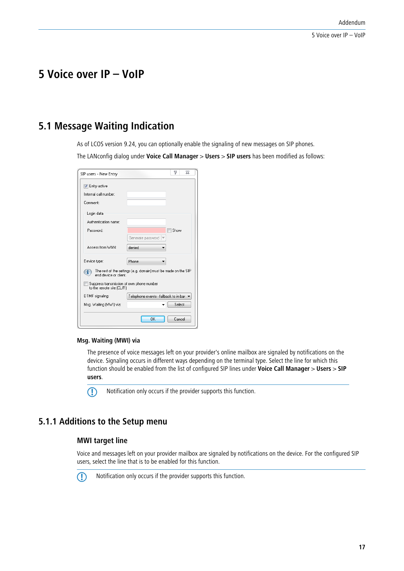# <span id="page-16-0"></span>**5 Voice over IP – VoIP**

# <span id="page-16-1"></span>**5.1 Message Waiting Indication**

As of LCOS version 9.24, you can optionally enable the signaling of new messages on SIP phones. The LANconfig dialog under **Voice Call Manager** > **Users** > **SIP users** has been modified as follows:

| SIP users - New Entry     | P<br>ΣŚ                                                        |
|---------------------------|----------------------------------------------------------------|
| <b>V</b> Entry active     |                                                                |
| Internal call number:     |                                                                |
| Comment:                  |                                                                |
| Login data                |                                                                |
| Authentication name:      |                                                                |
| Password:                 | Show                                                           |
|                           | Generate password<br>$\overline{\phantom{a}}$                  |
| Access from WAN:          | denied                                                         |
| Device type:              | Phone                                                          |
| end device or client.     | The rest of the settings [e.g. domain] must be made on the SIP |
| to the remote site (CLIR) | Suppress transmission of own phone number                      |
| DTMF signaling:           | Telephone events - fallback to in-bar                          |
| Msg. Waiting [MWI] via:   | Select                                                         |
|                           | ΠK<br>Cancel                                                   |

#### **Msg. Waiting (MWI) via**

The presence of voice messages left on your provider's online mailbox are signaled by notifications on the device. Signaling occurs in different ways depending on the terminal type. Select the line for which this function should be enabled from the list of configured SIP lines under **Voice Call Manager** > **Users** > **SIP users**.

(1) Notification only occurs if the provider supports this function.

# <span id="page-16-2"></span>**5.1.1 Additions to the Setup menu**

# **MWI target line**

Voice and messages left on your provider mailbox are signaled by notifications on the device. For the configured SIP users, select the line that is to be enabled for this function.



**(1)** Notification only occurs if the provider supports this function.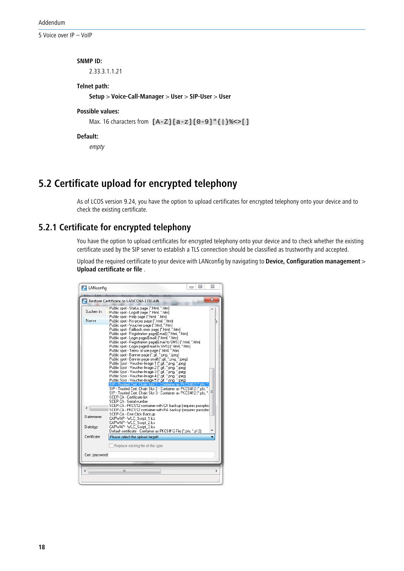5 Voice over IP – VoIP

#### **SNMP ID:**

2.33.3.1.1.21

#### **Telnet path:**

**Setup** > **Voice-Call-Manager** > **User** > **SIP-User** > **User**

# **Possible values:**

Max. 16 characters from  $[A-Z][a-z][0-9]$ "  $\{|$   $\}$   $\le$  > []

**Default:**

empty

# <span id="page-17-1"></span><span id="page-17-0"></span>**5.2 Certificate upload for encrypted telephony**

As of LCOS version 9.24, you have the option to upload certificates for encrypted telephony onto your device and to check the existing certificate.

# **5.2.1 Certificate for encrypted telephony**

You have the option to upload certificates for encrypted telephony onto your device and to check whether the existing certificate used by the SIP server to establish a TLS connection should be classified as trustworthy and accepted.

Upload the required certificate to your device with LANconfig by navigating to **Device, Configuration management** > **Upload certificate or file** .

| <b>E</b> LANconfig |                                                                                                                                                                                                                                                                                                                                                                                                                                                                                                                                                                                                                                                                                                                                                                                                                                                                                         | 叵<br>$\Box$ | Σζ |
|--------------------|-----------------------------------------------------------------------------------------------------------------------------------------------------------------------------------------------------------------------------------------------------------------------------------------------------------------------------------------------------------------------------------------------------------------------------------------------------------------------------------------------------------------------------------------------------------------------------------------------------------------------------------------------------------------------------------------------------------------------------------------------------------------------------------------------------------------------------------------------------------------------------------------|-------------|----|
|                    |                                                                                                                                                                                                                                                                                                                                                                                                                                                                                                                                                                                                                                                                                                                                                                                                                                                                                         |             |    |
|                    | Restore Certificate to LANCOM-1781AW                                                                                                                                                                                                                                                                                                                                                                                                                                                                                                                                                                                                                                                                                                                                                                                                                                                    |             | x  |
| Suchen in:         | Public spot - Status page [".html, ".html<br>Public spot - Logoff page [".html, ".htm]                                                                                                                                                                                                                                                                                                                                                                                                                                                                                                                                                                                                                                                                                                                                                                                                  |             |    |
| Name               | Public spot - Help page [".html, ".html<br>Public spot - No-proxy page [".html, ".html<br>Public spot - Voucher page [".html, ".htm]<br>Public spot - Fallback error page (".html, ".html<br>Public spot - Registration page(Email) [".html, ".html<br>Public spot - Login page(Email) (".html, ".htm)<br>Public spot - Registration page(Email to SMS) [".html, ".htm)<br>Public spot - Login page(Email to SMS) [".html, ".htm]<br>Public spot - Terms of use page [".html, ".htm]<br>Public spot - Banner page (".gif, ".png, ".jpeg)<br>Public spot - Banner page small (".gif, ".png, ".jpeg)<br>Public Spot - Voucher-Image 1 (".gif, ".png, ".jpeg)<br>Public Spot - Voucher-Image 2 ["gif, "png, "ipeg)<br>Public Spot - Voucher-Image 3 (".gif, ".png, ".jpeg)<br>Public Spot - Voucher-Image 4 (".gif, ".png, ".jpeg)<br>Public Spot - Voucher-Image 5 (".gif, ".png, ".jpeg) |             |    |
|                    | SIP - Trusted Cert, Chain Slot 1 - Container as PKCS#12.<br>SIP - Trusted Cert, Chain Slot 2 - Container as PKCS#12 (".pfx.<br>SIP - Trusted Cert, Chain Slot 3 - Container as PKCS#12 (*.pfx. )<br>SCEP-CA - Certificate list<br>SCEP-CA - Serial number<br>SCEP-CA - PKCS12 container with CA backup (requires passphra)<br>SCEP-CA - PKCS12 container with RA backup (requires passphra)                                                                                                                                                                                                                                                                                                                                                                                                                                                                                             | " nfx.:     | Ξ  |
| Dateiname:         | SCEP-CA - One Click Backup<br>CAPWAP - WLC_Script_1.lcs<br>CAPWAP - WLC_Script_2.lcs                                                                                                                                                                                                                                                                                                                                                                                                                                                                                                                                                                                                                                                                                                                                                                                                    |             |    |
| Dateityp:          | CAPWAP - WLC_Script_3.lcs<br>Default certificate - Container as PKCS#12-File [".pfx, ".p12]                                                                                                                                                                                                                                                                                                                                                                                                                                                                                                                                                                                                                                                                                                                                                                                             |             |    |
| Certificate        | Please select the upload target!                                                                                                                                                                                                                                                                                                                                                                                                                                                                                                                                                                                                                                                                                                                                                                                                                                                        |             |    |
| Cert. password:    | Replace existing file of this type                                                                                                                                                                                                                                                                                                                                                                                                                                                                                                                                                                                                                                                                                                                                                                                                                                                      |             |    |
| ∢                  | ш                                                                                                                                                                                                                                                                                                                                                                                                                                                                                                                                                                                                                                                                                                                                                                                                                                                                                       |             | Þ  |
|                    |                                                                                                                                                                                                                                                                                                                                                                                                                                                                                                                                                                                                                                                                                                                                                                                                                                                                                         |             |    |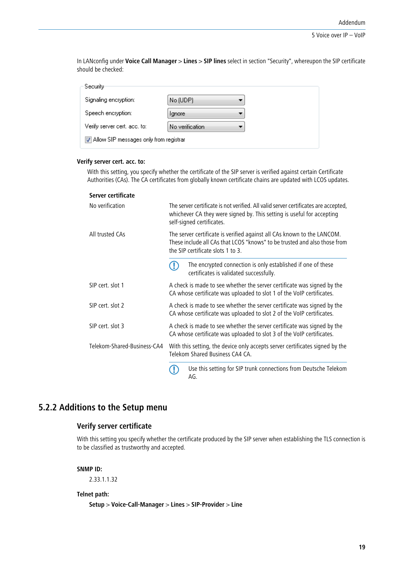In LANconfig under **Voice Call Manager** > **Lines** > **SIP lines** select in section "Security", whereupon the SIP certificate should be checked:

| Security                               |                 |  |
|----------------------------------------|-----------------|--|
| Signaling encryption:                  | No (UDP)        |  |
| Speech encryption:                     | <b>Ignore</b>   |  |
| Verify server cert, acc, to:           | No verification |  |
| Allow SIP messages only from registrar |                 |  |
|                                        |                 |  |

#### **Verify server cert. acc. to:**

With this setting, you specify whether the certificate of the SIP server is verified against certain Certificate Authorities (CAs). The CA certificates from globally known certificate chains are updated with LCOS updates.

#### **Server certificate**

| No verification             | The server certificate is not verified. All valid server certificates are accepted,<br>whichever CA they were signed by. This setting is useful for accepting<br>self-signed certificates. |  |
|-----------------------------|--------------------------------------------------------------------------------------------------------------------------------------------------------------------------------------------|--|
| All trusted CAs             | The server certificate is verified against all CAs known to the LANCOM.<br>These include all CAs that LCOS "knows" to be trusted and also those from<br>the SIP certificate slots 1 to 3.  |  |
|                             | The encrypted connection is only established if one of these<br>certificates is validated successfully.                                                                                    |  |
| SIP cert. slot 1            | A check is made to see whether the server certificate was signed by the<br>CA whose certificate was uploaded to slot 1 of the VoIP certificates.                                           |  |
| SIP cert. slot 2            | A check is made to see whether the server certificate was signed by the<br>CA whose certificate was uploaded to slot 2 of the VoIP certificates.                                           |  |
| SIP cert. slot 3            | A check is made to see whether the server certificate was signed by the<br>CA whose certificate was uploaded to slot 3 of the VoIP certificates.                                           |  |
| Telekom-Shared-Business-CA4 | With this setting, the device only accepts server certificates signed by the<br>Telekom Shared Business CA4 CA.                                                                            |  |
|                             | Use this setting for SIP trunk connections from Deutsche Telekom<br>AG.                                                                                                                    |  |

# <span id="page-18-0"></span>**5.2.2 Additions to the Setup menu**

# **Verify server certificate**

With this setting you specify whether the certificate produced by the SIP server when establishing the TLS connection is to be classified as trustworthy and accepted.

## **SNMP ID:**

2.33.1.1.32

### **Telnet path:**

**Setup** > **Voice-Call-Manager** > **Lines** > **SIP-Provider** > **Line**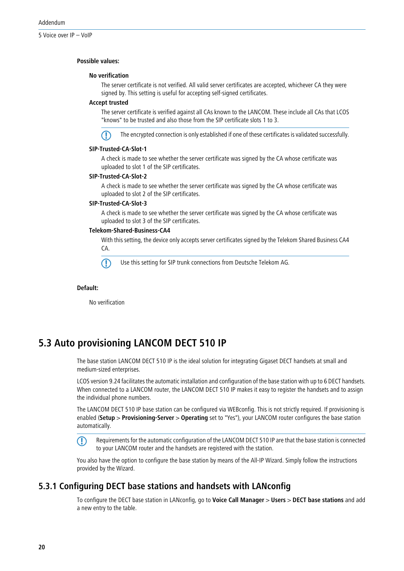#### **Possible values:**

#### **No verification**

The server certificate is not verified. All valid server certificates are accepted, whichever CA they were signed by. This setting is useful for accepting self-signed certificates.

#### **Accept trusted**

The server certificate is verified against all CAs known to the LANCOM. These include all CAs that LCOS "knows" to be trusted and also those from the SIP certificate slots 1 to 3.



The encrypted connection is only established if one of these certificates is validated successfully.

#### **SIP-Trusted-CA-Slot-1**

A check is made to see whether the server certificate was signed by the CA whose certificate was uploaded to slot 1 of the SIP certificates.

#### **SIP-Trusted-CA-Slot-2**

A check is made to see whether the server certificate was signed by the CA whose certificate was uploaded to slot 2 of the SIP certificates.

#### **SIP-Trusted-CA-Slot-3**

A check is made to see whether the server certificate was signed by the CA whose certificate was uploaded to slot 3 of the SIP certificates.

#### **Telekom-Shared-Business-CA4**

With this setting, the device only accepts server certificates signed by the Telekom Shared Business CA4 CA.

Use this setting for SIP trunk connections from Deutsche Telekom AG.

#### **Default:**

No verification

# <span id="page-19-0"></span>**5.3 Auto provisioning LANCOM DECT 510 IP**

The base station LANCOM DECT 510 IP is the ideal solution for integrating Gigaset DECT handsets at small and medium-sized enterprises.

LCOS version 9.24 facilitates the automatic installation and configuration of the base station with up to 6 DECT handsets. When connected to a LANCOM router, the LANCOM DECT 510 IP makes it easy to register the handsets and to assign the individual phone numbers.

The LANCOM DECT 510 IP base station can be configured via WEBconfig. This is not strictly required. If provisioning is enabled (**Setup** > **Provisioning-Server** > **Operating** set to "Yes"), your LANCOM router configures the base station automatically.

<span id="page-19-1"></span>**F** Requirements for the automatic configuration of the LANCOM DECT 510 IP are that the base station is connected to your LANCOM router and the handsets are registered with the station.

You also have the option to configure the base station by means of the All-IP Wizard. Simply follow the instructions provided by the Wizard.

# **5.3.1 Configuring DECT base stations and handsets with LANconfig**

To configure the DECT base station in LANconfig, go to **Voice Call Manager** > **Users** > **DECT base stations** and add a new entry to the table.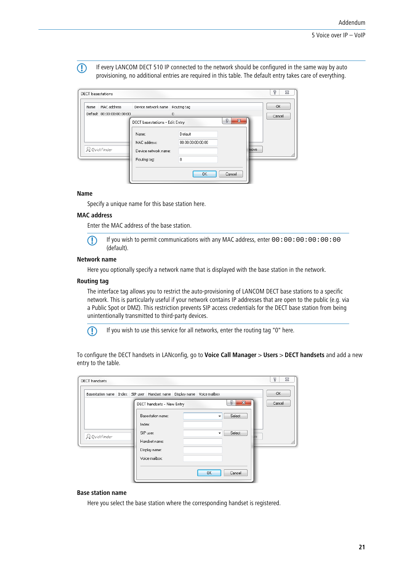**(1)** If every LANCOM DECT 510 IP connected to the network should be configured in the same way by auto provisioning, no additional entries are required in this table. The default entry takes care of everything.

|      | <b>DECT</b> basestations  |                                |                   | P<br>$\Sigma$ |
|------|---------------------------|--------------------------------|-------------------|---------------|
| Name | MAC address               | Device network name            | Routing tag       | OK            |
|      | Default 00:00:00:00:00:00 |                                | 0                 | Cancel        |
|      |                           | DECT basestations - Edit Entry | 8<br>$\mathbf{x}$ |               |
|      |                           | Name:                          | Default           |               |
|      |                           | MAC address:                   | 00:00:00:00:00:00 |               |
|      | Q QuickFinder             | Device network name:           | move              |               |
|      |                           | Routing tag:                   | $\Omega$          |               |
|      |                           |                                | OK<br>Cancel      |               |

#### **Name**

Specify a unique name for this base station here.

#### **MAC address**

Enter the MAC address of the base station.

 $\bigcap$  If you wish to permit communications with any MAC address, enter 00:00:00:00:00:00:00 (default).

#### **Network name**

Here you optionally specify a network name that is displayed with the base station in the network.

#### **Routing tag**

The interface tag allows you to restrict the auto-provisioning of LANCOM DECT base stations to a specific network. This is particularly useful if your network contains IP addresses that are open to the public (e.g. via a Public Spot or DMZ). This restriction prevents SIP access credentials for the DECT base station from being unintentionally transmitted to third-party devices.



5 If you wish to use this service for all networks, enter the routing tag "0" here.

To configure the DECT handsets in LANconfig, go to **Voice Call Manager** > **Users** > **DECT handsets** and add a new entry to the table.

| Basestation name Index SIP user Handset name Display name Voice mailbox |                   |                           |                   | OK     |
|-------------------------------------------------------------------------|-------------------|---------------------------|-------------------|--------|
|                                                                         |                   | DECT handsets - New Entry | 8<br>$\mathbf{x}$ | Cancel |
|                                                                         | Basestation name: |                           | Select<br>۰       |        |
|                                                                         | Index:            |                           |                   |        |
| <b>Q</b> QuickFinder                                                    | SIP user:         |                           | Select<br>▼       |        |
|                                                                         | Handset name:     |                           |                   |        |
|                                                                         | Display name:     |                           |                   |        |
|                                                                         | Voice mailbox:    |                           |                   |        |

#### **Base station name**

Here you select the base station where the corresponding handset is registered.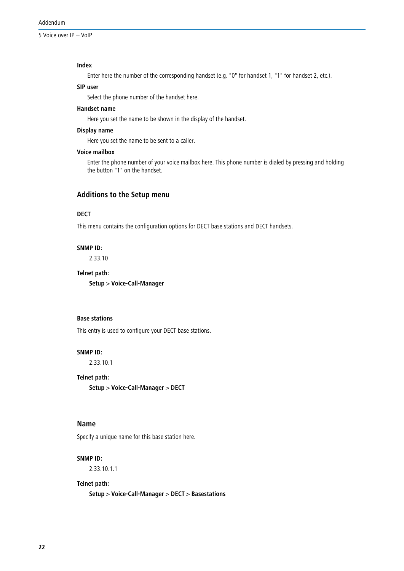5 Voice over IP – VoIP

#### **Index**

Enter here the number of the corresponding handset (e.g. "0" for handset 1, "1" for handset 2, etc.).

#### **SIP user**

Select the phone number of the handset here.

#### **Handset name**

Here you set the name to be shown in the display of the handset.

#### **Display name**

Here you set the name to be sent to a caller.

### **Voice mailbox**

Enter the phone number of your voice mailbox here. This phone number is dialed by pressing and holding the button "1" on the handset.

# **Additions to the Setup menu**

# **DECT**

This menu contains the configuration options for DECT base stations and DECT handsets.

#### **SNMP ID:**

2.33.10

#### **Telnet path:**

**Setup** > **Voice-Call-Manager**

#### **Base stations**

This entry is used to configure your DECT base stations.

#### **SNMP ID:**

2.33.10.1

#### **Telnet path:**

**Setup** > **Voice-Call-Manager** > **DECT**

#### **Name**

Specify a unique name for this base station here.

#### **SNMP ID:**

2.33.10.1.1

#### **Telnet path:**

**Setup** > **Voice-Call-Manager** > **DECT** > **Basestations**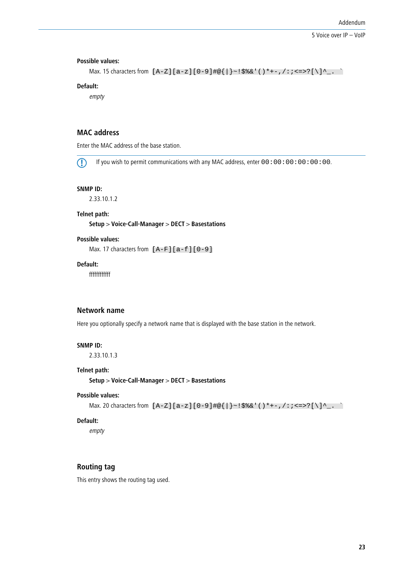#### **Possible values:**

```
Max. 15 characters from [A-Z][a-z][0-9]#@{|}~!$%&'()*+-,/:;<=>?[\]^_. `
```
#### **Default:**

empty

# **MAC address**

Enter the MAC address of the base station.

 $\bigcap$  If you wish to permit communications with any MAC address, enter 00:00:00:00:00:00:00.

#### **SNMP ID:**

2.33.10.1.2

#### **Telnet path:**

**Setup** > **Voice-Call-Manager** > **DECT** > **Basestations**

#### **Possible values:**

Max. 17 characters from  $[A-F][a-f][0-9]$ 

# **Default:**

ffffffffffff

# **Network name**

Here you optionally specify a network name that is displayed with the base station in the network.

#### **SNMP ID:**

2.33.10.1.3

#### **Telnet path:**

**Setup** > **Voice-Call-Manager** > **DECT** > **Basestations**

#### **Possible values:**

```
Max. 20 characters from [A-Z][a-z][0-9]\#@{\mid} - ! $ & c' ()* + - , / : ; < = > ?[\ \] ^_. `
```
#### **Default:**

empty

# **Routing tag**

This entry shows the routing tag used.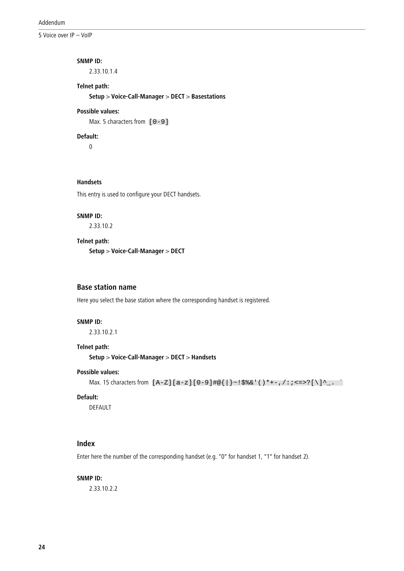5 Voice over IP – VoIP

#### **SNMP ID:**

2.33.10.1.4

# **Telnet path:**

**Setup** > **Voice-Call-Manager** > **DECT** > **Basestations**

# **Possible values:**

Max. 5 characters from  $[0-9]$ 

#### **Default:**

0

# **Handsets**

This entry is used to configure your DECT handsets.

#### **SNMP ID:**

2.33.10.2

# **Telnet path:**

**Setup** > **Voice-Call-Manager** > **DECT**

# **Base station name**

Here you select the base station where the corresponding handset is registered.

#### **SNMP ID:**

2.33.10.2.1

# **Telnet path:**

**Setup** > **Voice-Call-Manager** > **DECT** > **Handsets**

#### **Possible values:**

```
Max. 15 characters from [A-Z][a-z][0-9]#@\{|\} \sim 1$%&'()*+-,/:;<=>?[\]^_. `
```
#### **Default:**

DEFAULT

# **Index**

Enter here the number of the corresponding handset (e.g. "0" for handset 1, "1" for handset 2).

#### **SNMP ID:**

2.33.10.2.2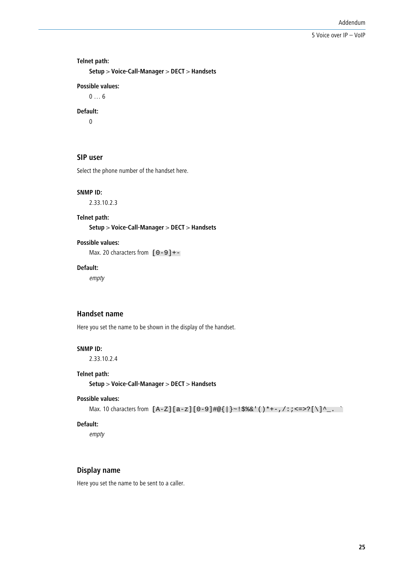#### **Telnet path:**

**Setup** > **Voice-Call-Manager** > **DECT** > **Handsets**

# **Possible values:**

0 … 6

# **Default:**

0

# **SIP user**

Select the phone number of the handset here.

#### **SNMP ID:**

2.33.10.2.3

#### **Telnet path:**

**Setup** > **Voice-Call-Manager** > **DECT** > **Handsets**

#### **Possible values:**

Max. 20 characters from  $[0-9]+$ 

# **Default:**

empty

#### **Handset name**

Here you set the name to be shown in the display of the handset.

#### **SNMP ID:**

2.33.10.2.4

#### **Telnet path:**

**Setup** > **Voice-Call-Manager** > **DECT** > **Handsets**

# **Possible values:**

```
Max. 10 characters from [A-Z][a-z][0-9]#@\{|\} \sim 1$%&'()*+-,/:;<=>?[\ \]^_. `
```
#### **Default:**

empty

# **Display name**

Here you set the name to be sent to a caller.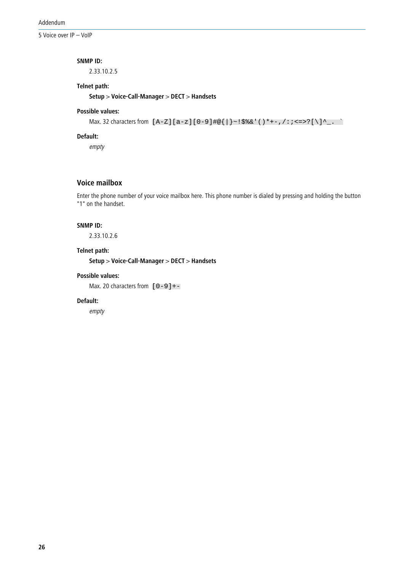5 Voice over IP – VoIP

#### **SNMP ID:**

2.33.10.2.5

## **Telnet path:**

**Setup** > **Voice-Call-Manager** > **DECT** > **Handsets**

# **Possible values:**

```
Max. 32 characters from [A-Z][a-z][0-9]#@{|}~!$%&'()*+-,/:;<=>?[\]^_. `
```
#### **Default:**

empty

# **Voice mailbox**

Enter the phone number of your voice mailbox here. This phone number is dialed by pressing and holding the button "1" on the handset.

#### **SNMP ID:**

2.33.10.2.6

#### **Telnet path:**

**Setup** > **Voice-Call-Manager** > **DECT** > **Handsets**

#### **Possible values:**

Max. 20 characters from  $[0-9]+$ 

### **Default:**

empty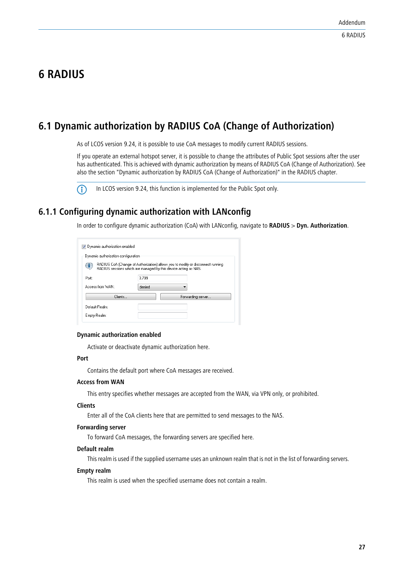# <span id="page-26-0"></span>**6 RADIUS**

# <span id="page-26-1"></span>**6.1 Dynamic authorization by RADIUS CoA (Change of Authorization)**

As of LCOS version 9.24, it is possible to use CoA messages to modify current RADIUS sessions.

If you operate an external hotspot server, it is possible to change the attributes of Public Spot sessions after the user has authenticated. This is achieved with dynamic authorization by means of RADIUS CoA (Change of Authorization). See also the section "Dynamic authorization by RADIUS CoA (Change of Authorization)" in the RADIUS chapter.



(i) In LCOS version 9.24, this function is implemented for the Public Spot only.

# <span id="page-26-2"></span>**6.1.1 Configuring dynamic authorization with LANconfig**

In order to configure dynamic authorization (CoA) with LANconfig, navigate to **RADIUS** > **Dyn. Authorization**.

| Dynamic authorization enabled                                                                                                                                                                   |        |  |                   |  |  |  |
|-------------------------------------------------------------------------------------------------------------------------------------------------------------------------------------------------|--------|--|-------------------|--|--|--|
| Dynamic authorization configuration<br>RADIUS CoA (Change of Authorization) allows you to modify or disconnect running<br>α.<br>RADIUS sessions which are managed by this device acting as NAS. |        |  |                   |  |  |  |
| Port:                                                                                                                                                                                           | 3.799  |  |                   |  |  |  |
| Access from WAN:<br>Clients                                                                                                                                                                     | denied |  | Forwarding server |  |  |  |
| Default-Realm:<br>Empty-Realm:                                                                                                                                                                  |        |  |                   |  |  |  |

#### **Dynamic authorization enabled**

Activate or deactivate dynamic authorization here.

#### **Port**

Contains the default port where CoA messages are received.

#### **Access from WAN**

This entry specifies whether messages are accepted from the WAN, via VPN only, or prohibited.

#### **Clients**

Enter all of the CoA clients here that are permitted to send messages to the NAS.

#### **Forwarding server**

To forward CoA messages, the forwarding servers are specified here.

#### **Default realm**

This realm is used if the supplied username uses an unknown realm that is not in the list of forwarding servers.

### **Empty realm**

This realm is used when the specified username does not contain a realm.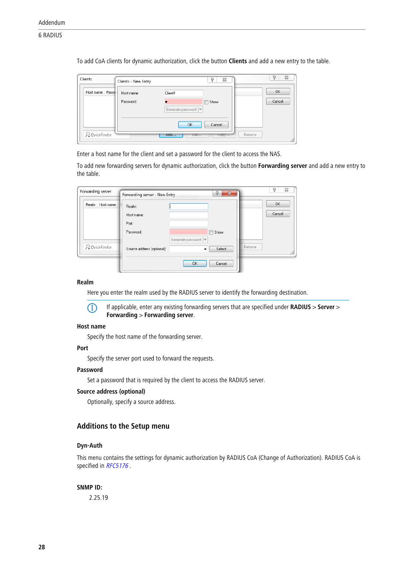To add CoA clients for dynamic authorization, click the button **Clients** and add a new entry to the table.

| Clients              | Clients - New Entry     | P<br>83                                             | P<br>$\Sigma$ |
|----------------------|-------------------------|-----------------------------------------------------|---------------|
| Host name Passy      | Host name:<br>Password: | Client1<br>Show<br>Generate password                | OK<br>Cancel  |
| <b>Q</b> QuickFinder |                         | Cancel<br>OK<br>H00<br><b>EOIT</b><br>$\text{copy}$ | Remove        |

Enter a host name for the client and set a password for the client to access the NAS.

To add new forwarding servers for dynamic authorization, click the button **Forwarding server** and add a new entry to the table.

| Forwarding server | Forwarding server - New Entry | 8<br>$\mathbf{x}$      |        | P<br>X |
|-------------------|-------------------------------|------------------------|--------|--------|
| Realm Host name   | Realm:                        |                        |        | OK     |
|                   | Host name:                    |                        |        | Cancel |
|                   | Port:                         |                        |        |        |
|                   | Password:                     | Show<br>$\blacksquare$ |        |        |
|                   |                               | Generate password  ▼   |        |        |
| Q QuickFinder     | Source address (optional):    | Select<br>▼            | Remove |        |
|                   |                               |                        |        |        |
|                   |                               | <b>OK</b><br>Cancel    |        |        |

#### **Realm**

Here you enter the realm used by the RADIUS server to identify the forwarding destination.

4 If applicable, enter any existing forwarding servers that are specified under **RADIUS** > **Server**<sup>&</sup>gt; **Forwarding** > **Forwarding server**.

#### **Host name**

Specify the host name of the forwarding server.

#### **Port**

Specify the server port used to forward the requests.

### **Password**

Set a password that is required by the client to access the RADIUS server.

#### **Source address (optional)**

Optionally, specify a source address.

# **Additions to the Setup menu**

# **Dyn-Auth**

This menu contains the settings for dynamic authorization by RADIUS CoA (Change of Authorization). RADIUS CoA is specified in [RFC5176](https://tools.ietf.org/html/rfc5176).

#### **SNMP ID:**

2.25.19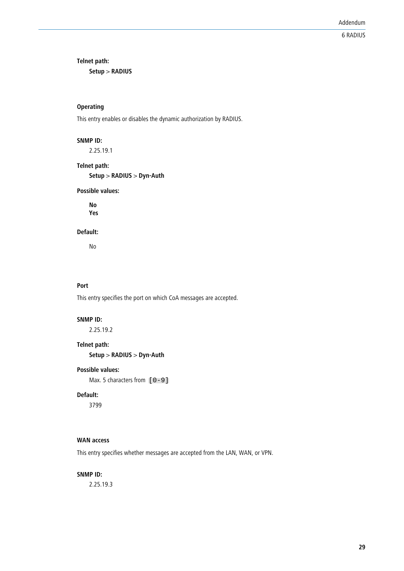**Telnet path:**

**Setup** > **RADIUS**

# **Operating**

This entry enables or disables the dynamic authorization by RADIUS.

#### **SNMP ID:**

2.25.19.1

**Telnet path:**

**Setup** > **RADIUS** > **Dyn-Auth**

# **Possible values:**

**No Yes**

#### **Default:**

No

# **Port**

This entry specifies the port on which CoA messages are accepted.

#### **SNMP ID:**

2.25.19.2

#### **Telnet path:**

**Setup** > **RADIUS** > **Dyn-Auth**

#### **Possible values:**

Max. 5 characters from  $[0-9]$ 

#### **Default:**

3799

#### **WAN access**

This entry specifies whether messages are accepted from the LAN, WAN, or VPN.

#### **SNMP ID:**

2.25.19.3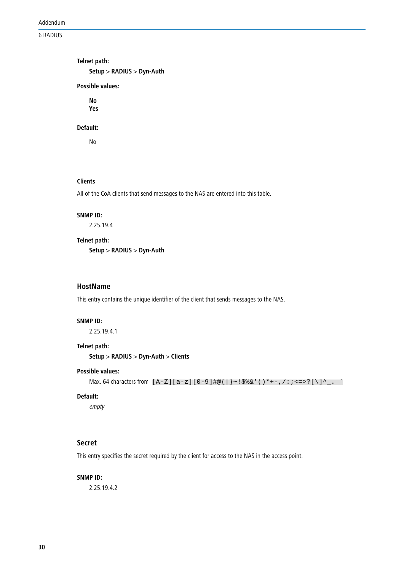Addendum

6 RADIUS

**Telnet path: Setup** > **RADIUS** > **Dyn-Auth Possible values: No**

**Yes**

#### **Default:**

No

#### **Clients**

All of the CoA clients that send messages to the NAS are entered into this table.

#### **SNMP ID:**

2.25.19.4

#### **Telnet path:**

**Setup** > **RADIUS** > **Dyn-Auth**

# **HostName**

This entry contains the unique identifier of the client that sends messages to the NAS.

#### **SNMP ID:**

2.25.19.4.1

### **Telnet path:**

**Setup** > **RADIUS** > **Dyn-Auth** > **Clients**

# **Possible values:**

```
Max. 64 characters from [A-Z][a-z][0-9]#@\{|\} \sim 1$%&'()*+-,/:;<=>?[\n\]^_. `
```
# **Default:**

empty

# **Secret**

This entry specifies the secret required by the client for access to the NAS in the access point.

#### **SNMP ID:**

2.25.19.4.2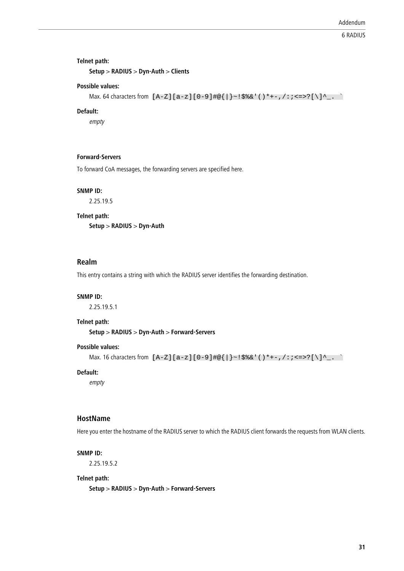#### **Telnet path:**

**Setup** > **RADIUS** > **Dyn-Auth** > **Clients**

#### **Possible values:**

```
Max. 64 characters from [A-Z][a-z][0-9]#@\{|\} \sim 1$%&'()*+-,/:;<=>?[\]^_. `
```
#### **Default:**

empty

### **Forward-Servers**

To forward CoA messages, the forwarding servers are specified here.

#### **SNMP ID:**

2.25.19.5

#### **Telnet path:**

**Setup** > **RADIUS** > **Dyn-Auth**

# **Realm**

This entry contains a string with which the RADIUS server identifies the forwarding destination.

#### **SNMP ID:**

2.25.19.5.1

#### **Telnet path:**

**Setup** > **RADIUS** > **Dyn-Auth** > **Forward-Servers**

#### **Possible values:**

```
Max. 16 characters from [A-Z][a-z][0-9]#@{|}~!$%&'()*+-,/:;<=>?[\]^_. `
```
#### **Default:**

empty

#### **HostName**

Here you enter the hostname of the RADIUS server to which the RADIUS client forwards the requests from WLAN clients.

#### **SNMP ID:**

2.25.19.5.2

#### **Telnet path:**

**Setup** > **RADIUS** > **Dyn-Auth** > **Forward-Servers**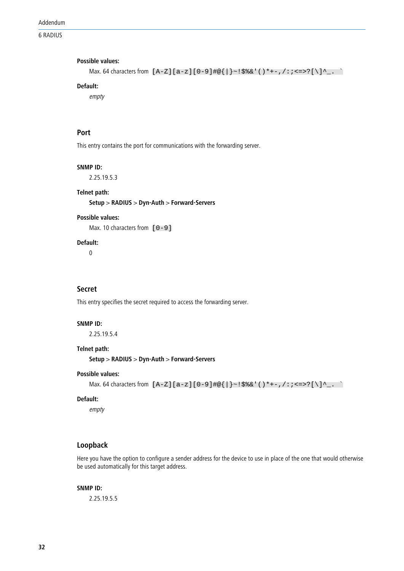#### Addendum

6 RADIUS

#### **Possible values:**

```
Max. 64 characters from [A-Z][a-z][0-9]#@{|}~!$%&'()*+-,/:;<=>?[\]^_. `
```
# **Default:**

empty

# **Port**

This entry contains the port for communications with the forwarding server.

#### **SNMP ID:**

2.25.19.5.3

#### **Telnet path:**

**Setup** > **RADIUS** > **Dyn-Auth** > **Forward-Servers**

#### **Possible values:**

Max. 10 characters from  $[0-9]$ 

# **Default:**

0

### **Secret**

This entry specifies the secret required to access the forwarding server.

#### **SNMP ID:**

2.25.19.5.4

#### **Telnet path:**

**Setup** > **RADIUS** > **Dyn-Auth** > **Forward-Servers**

#### **Possible values:**

```
Max. 64 characters from [A-Z][a-z][0-9]#@\{|\} \sim 1$%&'()*+-,/:;<=>?[\]^_. `
```
#### **Default:**

empty

# **Loopback**

Here you have the option to configure a sender address for the device to use in place of the one that would otherwise be used automatically for this target address.

#### **SNMP ID:**

2.25.19.5.5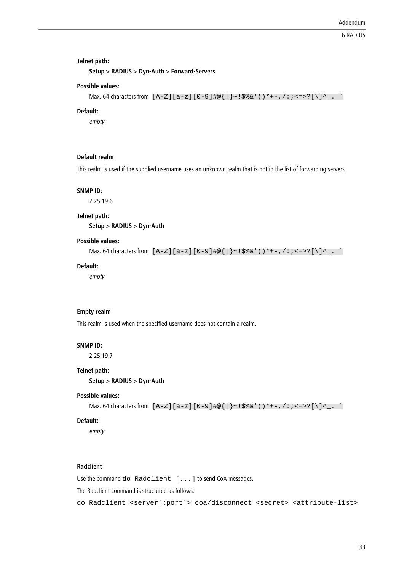#### **Telnet path:**

**Setup** > **RADIUS** > **Dyn-Auth** > **Forward-Servers**

#### **Possible values:**

```
Max. 64 characters from [A-Z][a-z][0-9]#@{|}~!$%&'()*+-,/:;<=>?[\]^_. `
```
#### **Default:**

empty

### **Default realm**

This realm is used if the supplied username uses an unknown realm that is not in the list of forwarding servers.

#### **SNMP ID:**

2.25.19.6

#### **Telnet path:**

**Setup** > **RADIUS** > **Dyn-Auth**

#### **Possible values:**

Max. 64 characters from  $[A-Z][a-z][0-9]$ #@ $\{|\} \sim 1$ \$%&'()\*+-,/:;<=>?[\]^\_. `

#### **Default:**

empty

#### **Empty realm**

This realm is used when the specified username does not contain a realm.

#### **SNMP ID:**

2.25.19.7

#### **Telnet path:**

**Setup** > **RADIUS** > **Dyn-Auth**

#### **Possible values:**

```
Max. 64 characters from [A-Z][a-z][0-9]#@\{|\} \sim 1$%&'()*+-,/:;<=>?[\n\]
```
#### **Default:**

empty

#### **Radclient**

Use the command do Radclient [...] to send CoA messages.

The Radclient command is structured as follows:

```
do Radclient <server[:port]> coa/disconnect <secret> <attribute-list>
```